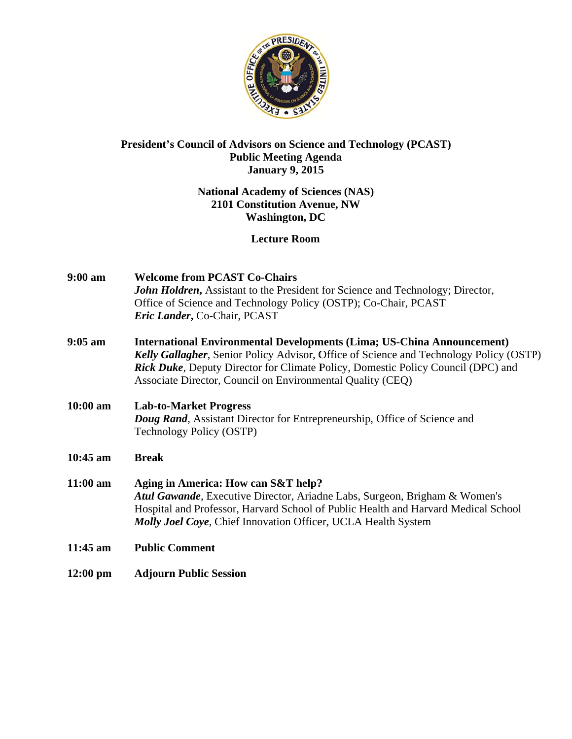

### President's Council of Advisors on Science and Technology (PCAST) **Public Meeting Agenda January 9, 2015**

### **National Academy of Sciences (NAS)** 2101 Constitution Avenue, NW **Washington, DC**

### **Lecture Room**

| $9:00$ am  | <b>Welcome from PCAST Co-Chairs</b><br>John Holdren, Assistant to the President for Science and Technology; Director,<br>Office of Science and Technology Policy (OSTP); Co-Chair, PCAST<br>Eric Lander, Co-Chair, PCAST                                                                                                  |
|------------|---------------------------------------------------------------------------------------------------------------------------------------------------------------------------------------------------------------------------------------------------------------------------------------------------------------------------|
| $9:05$ am  | <b>International Environmental Developments (Lima; US-China Announcement)</b><br>Kelly Gallagher, Senior Policy Advisor, Office of Science and Technology Policy (OSTP)<br>Rick Duke, Deputy Director for Climate Policy, Domestic Policy Council (DPC) and<br>Associate Director, Council on Environmental Quality (CEQ) |
| $10:00$ am | <b>Lab-to-Market Progress</b><br><b>Doug Rand, Assistant Director for Entrepreneurship, Office of Science and</b><br>Technology Policy (OSTP)                                                                                                                                                                             |
| 10:45 am   | <b>Break</b>                                                                                                                                                                                                                                                                                                              |
| $11:00$ am | Aging in America: How can S&T help?<br>Atul Gawande, Executive Director, Ariadne Labs, Surgeon, Brigham & Women's<br>Hospital and Professor, Harvard School of Public Health and Harvard Medical School<br>Molly Joel Coye, Chief Innovation Officer, UCLA Health System                                                  |
| $11:45$ am | <b>Public Comment</b>                                                                                                                                                                                                                                                                                                     |
| $12:00$ pm | <b>Adjourn Public Session</b>                                                                                                                                                                                                                                                                                             |